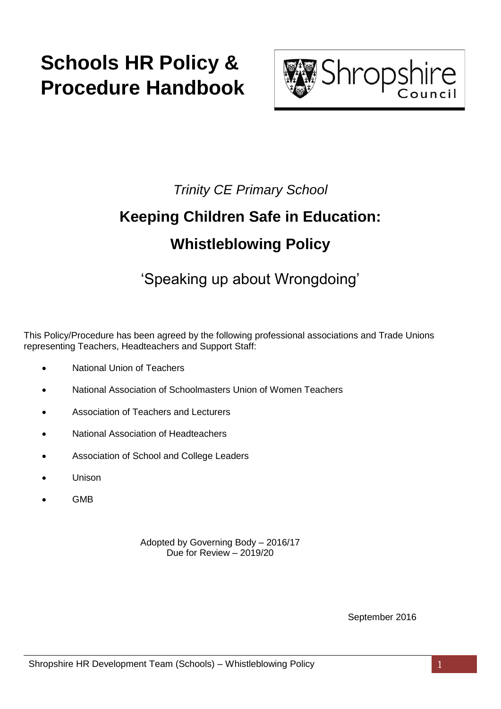# **Schools HR Policy & Procedure Handbook**



### *Trinity CE Primary School*

## **Keeping Children Safe in Education: Whistleblowing Policy**

## 'Speaking up about Wrongdoing'

This Policy/Procedure has been agreed by the following professional associations and Trade Unions representing Teachers, Headteachers and Support Staff:

- National Union of Teachers
- National Association of Schoolmasters Union of Women Teachers
- Association of Teachers and Lecturers
- National Association of Headteachers
- Association of School and College Leaders
- Unison
- GMB

Adopted by Governing Body – 2016/17 Due for Review – 2019/20

September 2016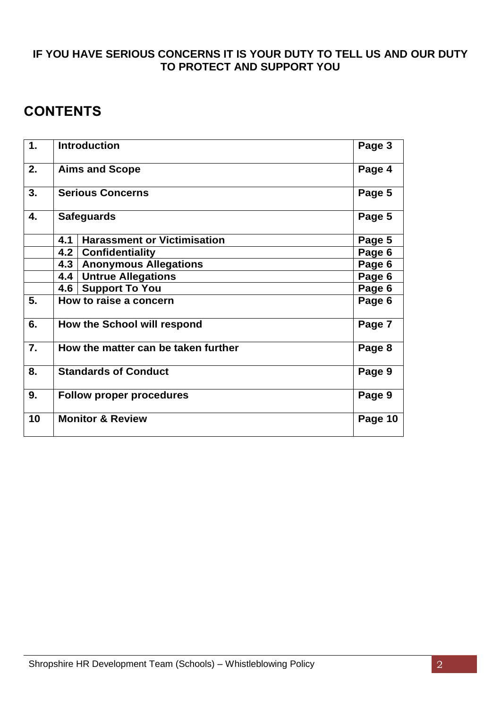#### **IF YOU HAVE SERIOUS CONCERNS IT IS YOUR DUTY TO TELL US AND OUR DUTY TO PROTECT AND SUPPORT YOU**

### **CONTENTS**

| $\mathbf 1$ . | <b>Introduction</b>                              | Page 3  |
|---------------|--------------------------------------------------|---------|
| 2.            | <b>Aims and Scope</b>                            | Page 4  |
| 3.            | <b>Serious Concerns</b>                          | Page 5  |
| 4.            | <b>Safeguards</b>                                | Page 5  |
|               | <b>Harassment or Victimisation</b><br>4.1        | Page 5  |
|               | 4.2 <sub>1</sub><br><b>Confidentiality</b>       | Page 6  |
|               | <b>Anonymous Allegations</b><br>4.3 <sub>1</sub> | Page 6  |
|               | <b>Untrue Allegations</b><br>4.4                 | Page 6  |
|               | <b>Support To You</b><br>4.6                     | Page 6  |
| 5.            | How to raise a concern                           | Page 6  |
| 6.            | How the School will respond                      | Page 7  |
| 7.            | How the matter can be taken further              | Page 8  |
| 8.            | <b>Standards of Conduct</b>                      | Page 9  |
| 9.            | <b>Follow proper procedures</b>                  | Page 9  |
| 10            | <b>Monitor &amp; Review</b>                      | Page 10 |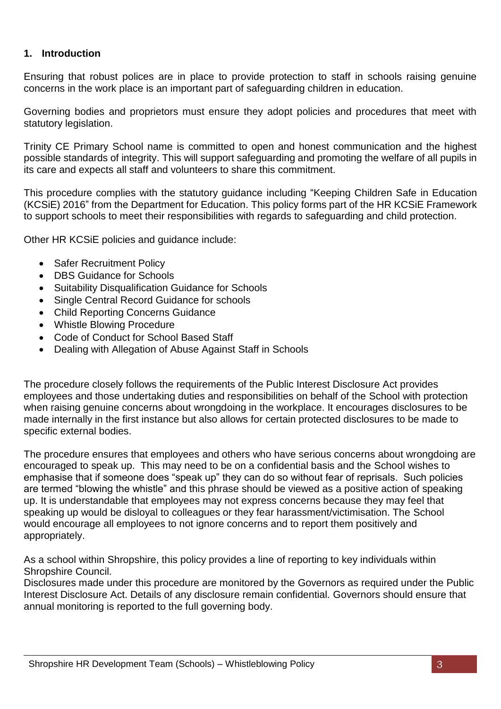#### **1. Introduction**

Ensuring that robust polices are in place to provide protection to staff in schools raising genuine concerns in the work place is an important part of safeguarding children in education.

Governing bodies and proprietors must ensure they adopt policies and procedures that meet with statutory legislation.

Trinity CE Primary School name is committed to open and honest communication and the highest possible standards of integrity. This will support safeguarding and promoting the welfare of all pupils in its care and expects all staff and volunteers to share this commitment.

This procedure complies with the statutory guidance including "Keeping Children Safe in Education (KCSiE) 2016" from the Department for Education. This policy forms part of the HR KCSiE Framework to support schools to meet their responsibilities with regards to safeguarding and child protection.

Other HR KCSiE policies and guidance include:

- Safer Recruitment Policy
- DBS Guidance for Schools
- Suitability Disqualification Guidance for Schools
- Single Central Record Guidance for schools
- Child Reporting Concerns Guidance
- Whistle Blowing Procedure
- Code of Conduct for School Based Staff
- Dealing with Allegation of Abuse Against Staff in Schools

The procedure closely follows the requirements of the Public Interest Disclosure Act provides employees and those undertaking duties and responsibilities on behalf of the School with protection when raising genuine concerns about wrongdoing in the workplace. It encourages disclosures to be made internally in the first instance but also allows for certain protected disclosures to be made to specific external bodies.

The procedure ensures that employees and others who have serious concerns about wrongdoing are encouraged to speak up. This may need to be on a confidential basis and the School wishes to emphasise that if someone does "speak up" they can do so without fear of reprisals. Such policies are termed "blowing the whistle" and this phrase should be viewed as a positive action of speaking up. It is understandable that employees may not express concerns because they may feel that speaking up would be disloyal to colleagues or they fear harassment/victimisation. The School would encourage all employees to not ignore concerns and to report them positively and appropriately.

As a school within Shropshire, this policy provides a line of reporting to key individuals within Shropshire Council.

Disclosures made under this procedure are monitored by the Governors as required under the Public Interest Disclosure Act. Details of any disclosure remain confidential. Governors should ensure that annual monitoring is reported to the full governing body.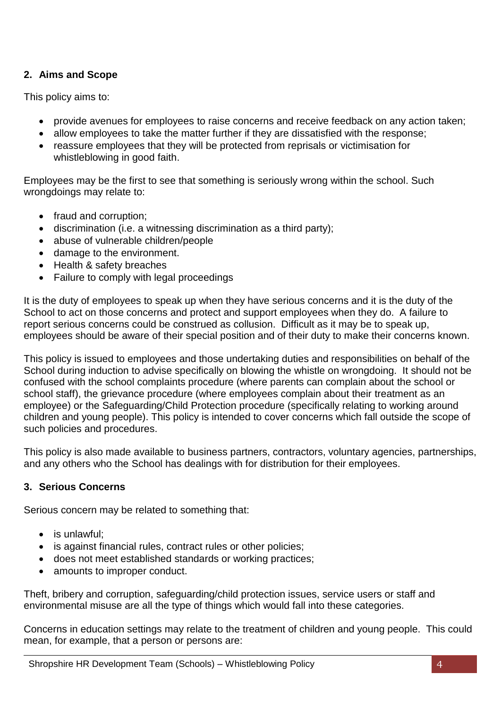#### **2. Aims and Scope**

This policy aims to:

- provide avenues for employees to raise concerns and receive feedback on any action taken;
- allow employees to take the matter further if they are dissatisfied with the response;
- reassure employees that they will be protected from reprisals or victimisation for whistleblowing in good faith.

Employees may be the first to see that something is seriously wrong within the school. Such wrongdoings may relate to:

- fraud and corruption;
- discrimination (i.e. a witnessing discrimination as a third party);
- abuse of vulnerable children/people
- damage to the environment.
- Health & safety breaches
- Failure to comply with legal proceedings

It is the duty of employees to speak up when they have serious concerns and it is the duty of the School to act on those concerns and protect and support employees when they do. A failure to report serious concerns could be construed as collusion. Difficult as it may be to speak up, employees should be aware of their special position and of their duty to make their concerns known.

This policy is issued to employees and those undertaking duties and responsibilities on behalf of the School during induction to advise specifically on blowing the whistle on wrongdoing. It should not be confused with the school complaints procedure (where parents can complain about the school or school staff), the grievance procedure (where employees complain about their treatment as an employee) or the Safeguarding/Child Protection procedure (specifically relating to working around children and young people). This policy is intended to cover concerns which fall outside the scope of such policies and procedures.

This policy is also made available to business partners, contractors, voluntary agencies, partnerships, and any others who the School has dealings with for distribution for their employees.

#### **3. Serious Concerns**

Serious concern may be related to something that:

- is unlawful:
- is against financial rules, contract rules or other policies;
- does not meet established standards or working practices;
- amounts to improper conduct.

Theft, bribery and corruption, safeguarding/child protection issues, service users or staff and environmental misuse are all the type of things which would fall into these categories.

Concerns in education settings may relate to the treatment of children and young people. This could mean, for example, that a person or persons are: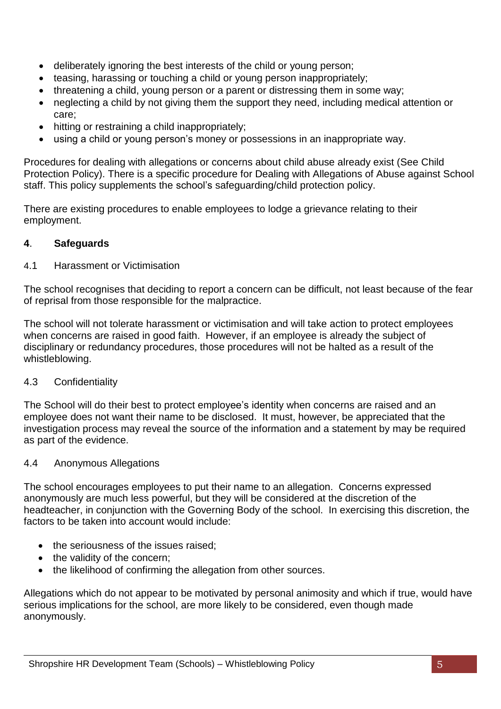- deliberately ignoring the best interests of the child or young person;
- teasing, harassing or touching a child or young person inappropriately;
- threatening a child, young person or a parent or distressing them in some way;
- neglecting a child by not giving them the support they need, including medical attention or care;
- hitting or restraining a child inappropriately;
- using a child or young person's money or possessions in an inappropriate way.

Procedures for dealing with allegations or concerns about child abuse already exist (See Child Protection Policy). There is a specific procedure for Dealing with Allegations of Abuse against School staff. This policy supplements the school's safeguarding/child protection policy.

There are existing procedures to enable employees to lodge a grievance relating to their employment.

#### **4**. **Safeguards**

#### 4.1 Harassment or Victimisation

The school recognises that deciding to report a concern can be difficult, not least because of the fear of reprisal from those responsible for the malpractice.

The school will not tolerate harassment or victimisation and will take action to protect employees when concerns are raised in good faith. However, if an employee is already the subject of disciplinary or redundancy procedures, those procedures will not be halted as a result of the whistleblowing.

#### 4.3 Confidentiality

The School will do their best to protect employee's identity when concerns are raised and an employee does not want their name to be disclosed. It must, however, be appreciated that the investigation process may reveal the source of the information and a statement by may be required as part of the evidence.

#### 4.4 Anonymous Allegations

The school encourages employees to put their name to an allegation. Concerns expressed anonymously are much less powerful, but they will be considered at the discretion of the headteacher, in conjunction with the Governing Body of the school. In exercising this discretion, the factors to be taken into account would include:

- the seriousness of the issues raised:
- the validity of the concern:
- the likelihood of confirming the allegation from other sources.

Allegations which do not appear to be motivated by personal animosity and which if true, would have serious implications for the school, are more likely to be considered, even though made anonymously.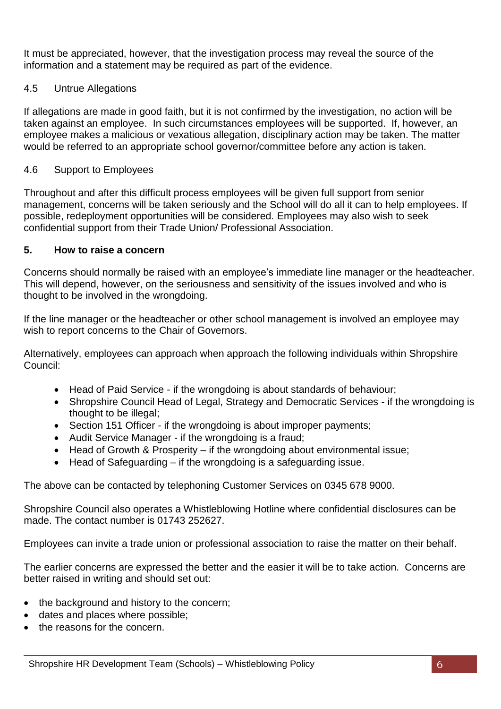It must be appreciated, however, that the investigation process may reveal the source of the information and a statement may be required as part of the evidence.

#### 4.5 Untrue Allegations

If allegations are made in good faith, but it is not confirmed by the investigation, no action will be taken against an employee. In such circumstances employees will be supported. If, however, an employee makes a malicious or vexatious allegation, disciplinary action may be taken. The matter would be referred to an appropriate school governor/committee before any action is taken.

#### 4.6 Support to Employees

Throughout and after this difficult process employees will be given full support from senior management, concerns will be taken seriously and the School will do all it can to help employees. If possible, redeployment opportunities will be considered. Employees may also wish to seek confidential support from their Trade Union/ Professional Association.

#### **5. How to raise a concern**

Concerns should normally be raised with an employee's immediate line manager or the headteacher. This will depend, however, on the seriousness and sensitivity of the issues involved and who is thought to be involved in the wrongdoing.

If the line manager or the headteacher or other school management is involved an employee may wish to report concerns to the Chair of Governors.

Alternatively, employees can approach when approach the following individuals within Shropshire Council:

- Head of Paid Service if the wrongdoing is about standards of behaviour;
- Shropshire Council Head of Legal, Strategy and Democratic Services if the wrongdoing is thought to be illegal;
- Section 151 Officer if the wrongdoing is about improper payments;
- Audit Service Manager if the wrongdoing is a fraud;
- Head of Growth & Prosperity if the wrongdoing about environmental issue;
- Head of Safeguarding if the wrongdoing is a safeguarding issue.

The above can be contacted by telephoning Customer Services on 0345 678 9000.

Shropshire Council also operates a Whistleblowing Hotline where confidential disclosures can be made. The contact number is 01743 252627.

Employees can invite a trade union or professional association to raise the matter on their behalf.

The earlier concerns are expressed the better and the easier it will be to take action. Concerns are better raised in writing and should set out:

- the background and history to the concern;
- dates and places where possible;
- the reasons for the concern.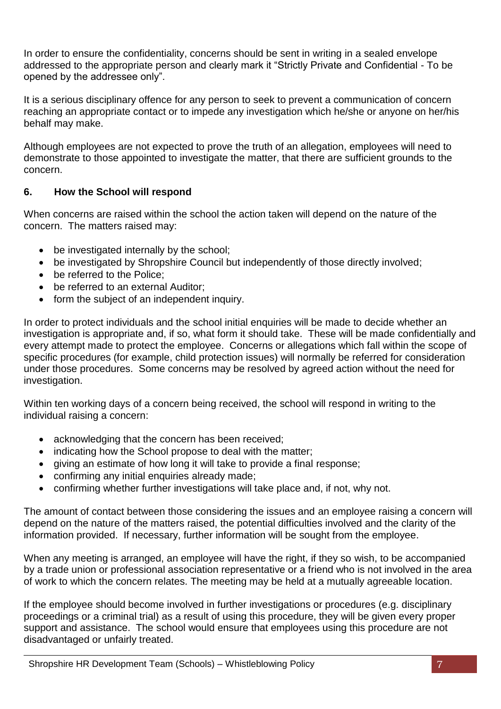In order to ensure the confidentiality, concerns should be sent in writing in a sealed envelope addressed to the appropriate person and clearly mark it "Strictly Private and Confidential - To be opened by the addressee only".

It is a serious disciplinary offence for any person to seek to prevent a communication of concern reaching an appropriate contact or to impede any investigation which he/she or anyone on her/his behalf may make.

Although employees are not expected to prove the truth of an allegation, employees will need to demonstrate to those appointed to investigate the matter, that there are sufficient grounds to the concern.

#### **6. How the School will respond**

When concerns are raised within the school the action taken will depend on the nature of the concern. The matters raised may:

- be investigated internally by the school:
- be investigated by Shropshire Council but independently of those directly involved;
- be referred to the Police:
- be referred to an external Auditor:
- form the subject of an independent inquiry.

In order to protect individuals and the school initial enquiries will be made to decide whether an investigation is appropriate and, if so, what form it should take. These will be made confidentially and every attempt made to protect the employee. Concerns or allegations which fall within the scope of specific procedures (for example, child protection issues) will normally be referred for consideration under those procedures. Some concerns may be resolved by agreed action without the need for investigation.

Within ten working days of a concern being received, the school will respond in writing to the individual raising a concern:

- acknowledging that the concern has been received:
- indicating how the School propose to deal with the matter;
- giving an estimate of how long it will take to provide a final response;
- confirming any initial enquiries already made;
- confirming whether further investigations will take place and, if not, why not.

The amount of contact between those considering the issues and an employee raising a concern will depend on the nature of the matters raised, the potential difficulties involved and the clarity of the information provided. If necessary, further information will be sought from the employee.

When any meeting is arranged, an employee will have the right, if they so wish, to be accompanied by a trade union or professional association representative or a friend who is not involved in the area of work to which the concern relates. The meeting may be held at a mutually agreeable location.

If the employee should become involved in further investigations or procedures (e.g. disciplinary proceedings or a criminal trial) as a result of using this procedure, they will be given every proper support and assistance. The school would ensure that employees using this procedure are not disadvantaged or unfairly treated.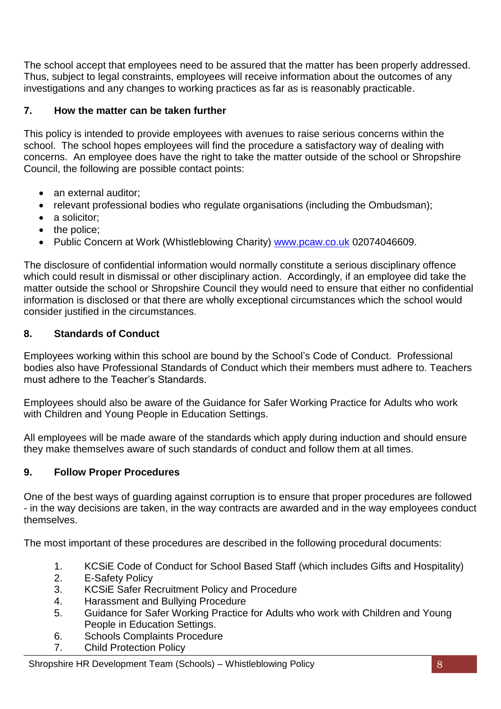The school accept that employees need to be assured that the matter has been properly addressed. Thus, subject to legal constraints, employees will receive information about the outcomes of any investigations and any changes to working practices as far as is reasonably practicable.

#### **7. How the matter can be taken further**

This policy is intended to provide employees with avenues to raise serious concerns within the school. The school hopes employees will find the procedure a satisfactory way of dealing with concerns. An employee does have the right to take the matter outside of the school or Shropshire Council, the following are possible contact points:

- an external auditor:
- relevant professional bodies who regulate organisations (including the Ombudsman);
- a solicitor:
- the police:
- Public Concern at Work (Whistleblowing Charity) [www.pcaw.co.uk](http://www.pcaw.co.uk/) 02074046609.

The disclosure of confidential information would normally constitute a serious disciplinary offence which could result in dismissal or other disciplinary action. Accordingly, if an employee did take the matter outside the school or Shropshire Council they would need to ensure that either no confidential information is disclosed or that there are wholly exceptional circumstances which the school would consider justified in the circumstances.

#### **8. Standards of Conduct**

Employees working within this school are bound by the School's Code of Conduct. Professional bodies also have Professional Standards of Conduct which their members must adhere to. Teachers must adhere to the Teacher's Standards.

Employees should also be aware of the Guidance for Safer Working Practice for Adults who work with Children and Young People in Education Settings.

All employees will be made aware of the standards which apply during induction and should ensure they make themselves aware of such standards of conduct and follow them at all times.

#### **9. Follow Proper Procedures**

One of the best ways of guarding against corruption is to ensure that proper procedures are followed - in the way decisions are taken, in the way contracts are awarded and in the way employees conduct themselves.

The most important of these procedures are described in the following procedural documents:

- 1. KCSiE Code of Conduct for School Based Staff (which includes Gifts and Hospitality)
- 2. E-Safety Policy
- 3. KCSiE Safer Recruitment Policy and Procedure
- 4. Harassment and Bullying Procedure
- 5. Guidance for Safer Working Practice for Adults who work with Children and Young People in Education Settings.
- 6. Schools Complaints Procedure
- 7. Child Protection Policy